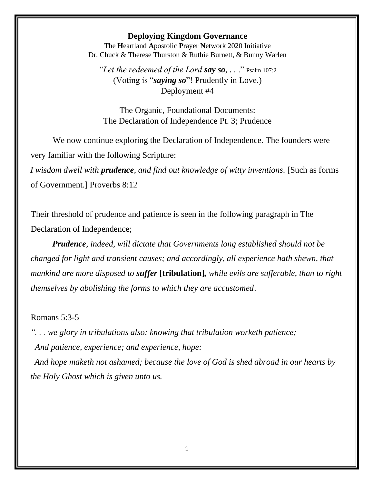## **Deploying Kingdom Governance**

The **H**eartland **A**postolic **P**rayer **N**etwork 2020 Initiative Dr. Chuck & Therese Thurston & Ruthie Burnett, & Bunny Warlen

*"Let the redeemed of the Lord say so, . .* ." Psalm 107:2 (Voting is "*saying so*"! Prudently in Love.) Deployment #4

The Organic, Foundational Documents: The Declaration of Independence Pt. 3; Prudence

We now continue exploring the Declaration of Independence. The founders were very familiar with the following Scripture:

*I wisdom dwell with prudence, and find out knowledge of witty inventions.* [Such as forms of Government.] Proverbs 8:12

Their threshold of prudence and patience is seen in the following paragraph in The Declaration of Independence;

*Prudence, indeed, will dictate that Governments long established should not be changed for light and transient causes; and accordingly, all experience hath shewn, that mankind are more disposed to suffer* **[tribulation]***, while evils are sufferable, than to right themselves by abolishing the forms to which they are accustomed*.

Romans 5:3-5

*". . . we glory in tribulations also: knowing that tribulation worketh patience; And patience, experience; and experience, hope:*

 *And hope maketh not ashamed; because the love of God is shed abroad in our hearts by the Holy Ghost which is given unto us.*